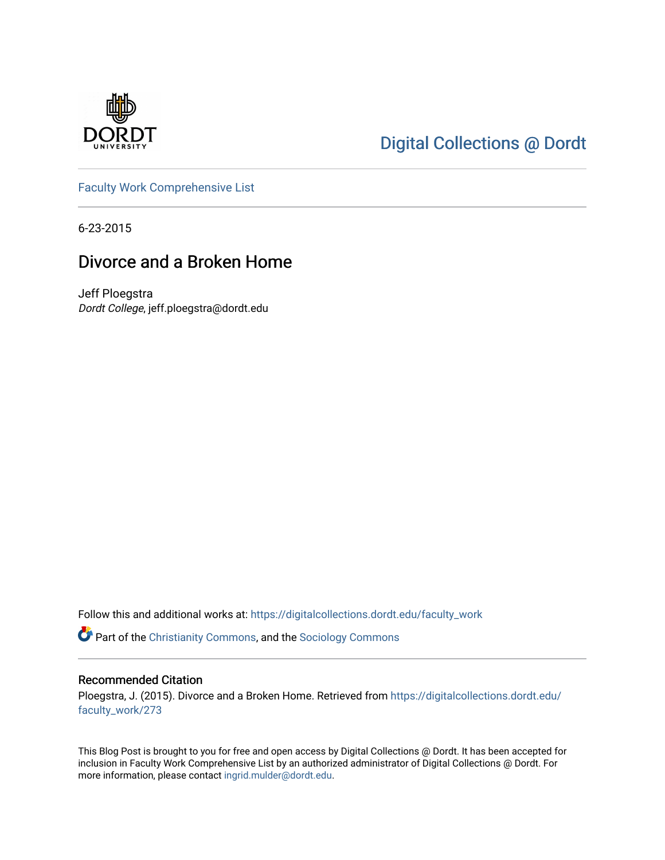

# [Digital Collections @ Dordt](https://digitalcollections.dordt.edu/)

[Faculty Work Comprehensive List](https://digitalcollections.dordt.edu/faculty_work)

6-23-2015

## Divorce and a Broken Home

Jeff Ploegstra Dordt College, jeff.ploegstra@dordt.edu

Follow this and additional works at: [https://digitalcollections.dordt.edu/faculty\\_work](https://digitalcollections.dordt.edu/faculty_work?utm_source=digitalcollections.dordt.edu%2Ffaculty_work%2F273&utm_medium=PDF&utm_campaign=PDFCoverPages) 

Part of the [Christianity Commons,](http://network.bepress.com/hgg/discipline/1181?utm_source=digitalcollections.dordt.edu%2Ffaculty_work%2F273&utm_medium=PDF&utm_campaign=PDFCoverPages) and the [Sociology Commons](http://network.bepress.com/hgg/discipline/416?utm_source=digitalcollections.dordt.edu%2Ffaculty_work%2F273&utm_medium=PDF&utm_campaign=PDFCoverPages) 

#### Recommended Citation

Ploegstra, J. (2015). Divorce and a Broken Home. Retrieved from [https://digitalcollections.dordt.edu/](https://digitalcollections.dordt.edu/faculty_work/273?utm_source=digitalcollections.dordt.edu%2Ffaculty_work%2F273&utm_medium=PDF&utm_campaign=PDFCoverPages) [faculty\\_work/273](https://digitalcollections.dordt.edu/faculty_work/273?utm_source=digitalcollections.dordt.edu%2Ffaculty_work%2F273&utm_medium=PDF&utm_campaign=PDFCoverPages)

This Blog Post is brought to you for free and open access by Digital Collections @ Dordt. It has been accepted for inclusion in Faculty Work Comprehensive List by an authorized administrator of Digital Collections @ Dordt. For more information, please contact [ingrid.mulder@dordt.edu.](mailto:ingrid.mulder@dordt.edu)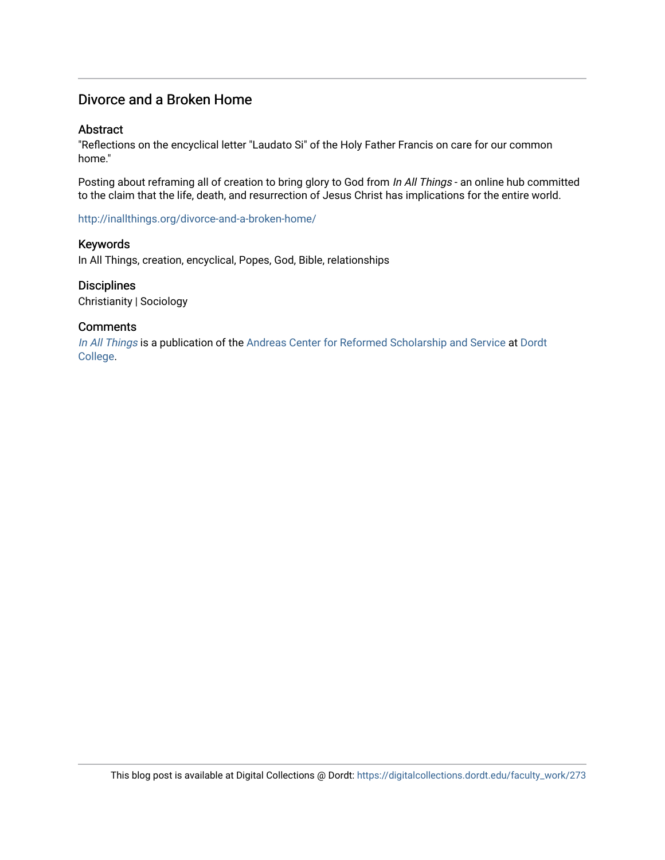## Divorce and a Broken Home

#### Abstract

"Reflections on the encyclical letter "Laudato Si" of the Holy Father Francis on care for our common home."

Posting about reframing all of creation to bring glory to God from In All Things - an online hub committed to the claim that the life, death, and resurrection of Jesus Christ has implications for the entire world.

<http://inallthings.org/divorce-and-a-broken-home/>

#### Keywords

In All Things, creation, encyclical, Popes, God, Bible, relationships

#### **Disciplines**

Christianity | Sociology

#### **Comments**

[In All Things](http://inallthings.org/) is a publication of the [Andreas Center for Reformed Scholarship and Service](http://www.dordt.edu/services_support/andreas_center/) at Dordt [College](http://www.dordt.edu/).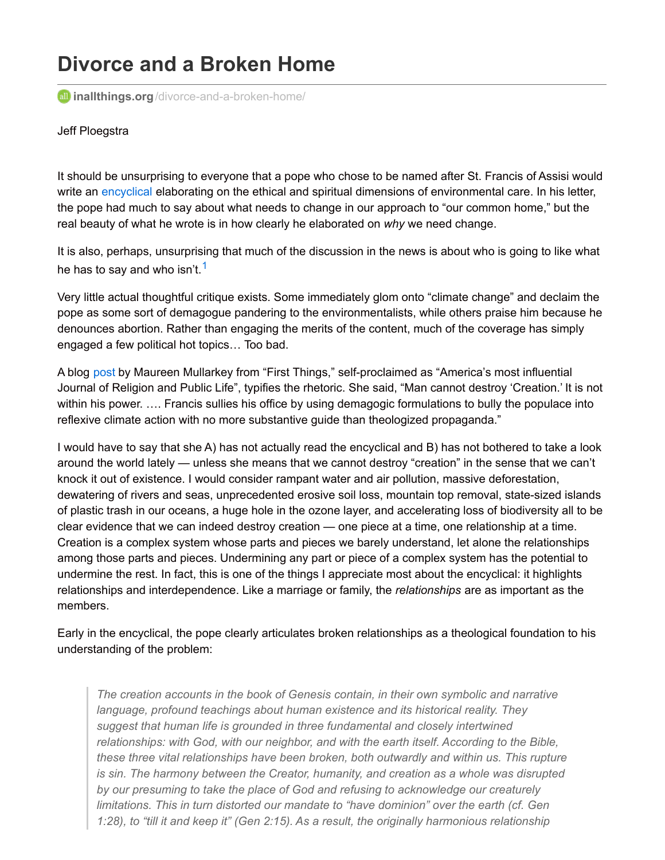# **Divorce and a Broken Home**

**all inallthings.org**[/divorce-and-a-broken-home/](http://inallthings.org/divorce-and-a-broken-home/?utm_source=feedburner&utm_medium=email&utm_campaign=Feed:+in-all-things+(in+all+things))

#### Jeff Ploegstra

It should be unsurprising to everyone that a pope who chose to be named after St. Francis of Assisi would write an [encyclical](http://w2.vatican.va/content/francesco/en/encyclicals/documents/papa-francesco_20150524_enciclica-laudato-si.pdf) elaborating on the ethical and spiritual dimensions of environmental care. In his letter, the pope had much to say about what needs to change in our approach to "our common home," but the real beauty of what he wrote is in how clearly he elaborated on *why* we need change.

It is also, perhaps, unsurprising that much of the discussion in the news is about who is going to like what he has to say and who isn't.<sup>[1](http://inallthings.org/divorce-and-a-broken-home/?utm_source=feedburner&utm_medium=email&utm_campaign=Feed%3A+in-all-things+%28in+all+things%29#fn1-4929)</sup>

Very little actual thoughtful critique exists. Some immediately glom onto "climate change" and declaim the pope as some sort of demagogue pandering to the environmentalists, while others praise him because he denounces abortion. Rather than engaging the merits of the content, much of the coverage has simply engaged a few political hot topics… Too bad.

A blog [post](http://www.firstthings.com/blogs/mullarkey/2015/01/francis-political-illusion) by Maureen Mullarkey from "First Things," self-proclaimed as "America's most influential Journal of Religion and Public Life", typifies the rhetoric. She said, "Man cannot destroy 'Creation.' It is not within his power. …. Francis sullies his office by using demagogic formulations to bully the populace into reflexive climate action with no more substantive guide than theologized propaganda."

I would have to say that she A) has not actually read the encyclical and B) has not bothered to take a look around the world lately — unless she means that we cannot destroy "creation" in the sense that we can't knock it out of existence. I would consider rampant water and air pollution, massive deforestation, dewatering of rivers and seas, unprecedented erosive soil loss, mountain top removal, state-sized islands of plastic trash in our oceans, a huge hole in the ozone layer, and accelerating loss of biodiversity all to be clear evidence that we can indeed destroy creation — one piece at a time, one relationship at a time. Creation is a complex system whose parts and pieces we barely understand, let alone the relationships among those parts and pieces. Undermining any part or piece of a complex system has the potential to undermine the rest. In fact, this is one of the things I appreciate most about the encyclical: it highlights relationships and interdependence. Like a marriage or family, the *relationships* are as important as the members.

Early in the encyclical, the pope clearly articulates broken relationships as a theological foundation to his understanding of the problem:

*The creation accounts in the book of Genesis contain, in their own symbolic and narrative language, profound teachings about human existence and its historical reality. They suggest that human life is grounded in three fundamental and closely intertwined relationships: with God, with our neighbor, and with the earth itself. According to the Bible, these three vital relationships have been broken, both outwardly and within us. This rupture is sin. The harmony between the Creator, humanity, and creation as a whole was disrupted by our presuming to take the place of God and refusing to acknowledge our creaturely limitations. This in turn distorted our mandate to "have dominion" over the earth (cf. Gen 1:28), to "till it and keep it" (Gen 2:15). As a result, the originally harmonious relationship*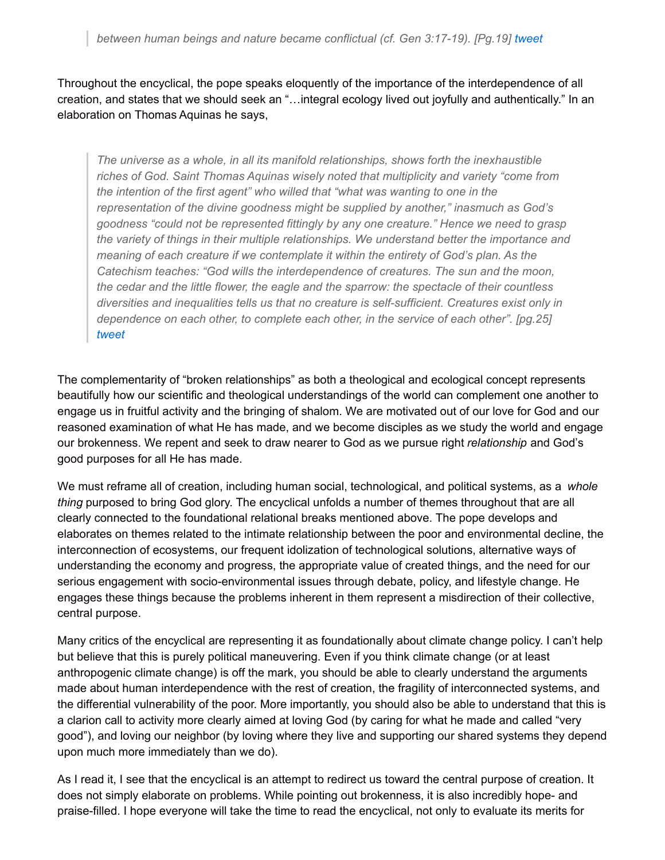Throughout the encyclical, the pope speaks eloquently of the importance of the interdependence of all creation, and states that we should seek an "…integral ecology lived out joyfully and authentically." In an elaboration on Thomas Aquinas he says,

*The universe as a whole, in all its manifold relationships, shows forth the inexhaustible riches of God. Saint Thomas Aquinas wisely noted that multiplicity and variety "come from the intention of the first agent" who willed that "what was wanting to one in the representation of the divine goodness might be supplied by another," inasmuch as God's goodness "could not be represented fittingly by any one creature." Hence we need to grasp the variety of things in their multiple relationships. We understand better the importance and meaning of each creature if we contemplate it within the entirety of God's plan. As the Catechism teaches: "God wills the interdependence of creatures. The sun and the moon, the cedar and the little flower, the eagle and the sparrow: the spectacle of their countless diversities and inequalities tells us that no creature is self-sufficient. Creatures exist only in dependence on each other, to complete each other, in the service of each other". [pg.25] [tweet](http://twitter.com/intent/tweet?url=http://inallthings.org/divorce-and-a-broken-home/?utm_source=feedburner&utm_medium=email&utm_campaign=Feed%3A+in-all-things+%28in+all+things%29&text=The universe as a whole, in all its manifold relationships, shows forth the inexhaustible riches of God. Saint Thomas Aquinas wisely noted that multiplicity and variety %E2%80%9Ccome from the intention of the first agent%E2%80%9D who willed that %E2%80%9Cwhat was wanting to one in the representation of the divine goodness might be supplied by another,%E2%80%9D inasmuch as God%E2%80%99s goodness %E2%80%9Ccould not be represented fittingly by any one creature.%E2%80%9D Hence we need to grasp the variety of things in their multiple relationships. We understand better the importance and meaning of each creature if we contemplate it within the entirety of God%E2%80%99s plan. As the Catechism teaches: %E2%80%9CGod wills the interdependence of creatures. The sun and the moon, the cedar and the little flower, the eagle and the sparrow: the spectacle of their countless diversities and inequalities tells us that no creature is self-sufficient. Creatures exist only in dependence on each other, to complete each other, in the service of each other%E2%80%9D. %5Bpg.25%5D&via=&related=&hashtags=creation,Encyclical,Pope Francis,)*

The complementarity of "broken relationships" as both a theological and ecological concept represents beautifully how our scientific and theological understandings of the world can complement one another to engage us in fruitful activity and the bringing of shalom. We are motivated out of our love for God and our reasoned examination of what He has made, and we become disciples as we study the world and engage our brokenness. We repent and seek to draw nearer to God as we pursue right *relationship* and God's good purposes for all He has made.

We must reframe all of creation, including human social, technological, and political systems, as a *whole thing* purposed to bring God glory. The encyclical unfolds a number of themes throughout that are all clearly connected to the foundational relational breaks mentioned above. The pope develops and elaborates on themes related to the intimate relationship between the poor and environmental decline, the interconnection of ecosystems, our frequent idolization of technological solutions, alternative ways of understanding the economy and progress, the appropriate value of created things, and the need for our serious engagement with socio-environmental issues through debate, policy, and lifestyle change. He engages these things because the problems inherent in them represent a misdirection of their collective, central purpose.

Many critics of the encyclical are representing it as foundationally about climate change policy. I can't help but believe that this is purely political maneuvering. Even if you think climate change (or at least anthropogenic climate change) is off the mark, you should be able to clearly understand the arguments made about human interdependence with the rest of creation, the fragility of interconnected systems, and the differential vulnerability of the poor. More importantly, you should also be able to understand that this is a clarion call to activity more clearly aimed at loving God (by caring for what he made and called "very good"), and loving our neighbor (by loving where they live and supporting our shared systems they depend upon much more immediately than we do).

As I read it, I see that the encyclical is an attempt to redirect us toward the central purpose of creation. It does not simply elaborate on problems. While pointing out brokenness, it is also incredibly hope- and praise-filled. I hope everyone will take the time to read the encyclical, not only to evaluate its merits for